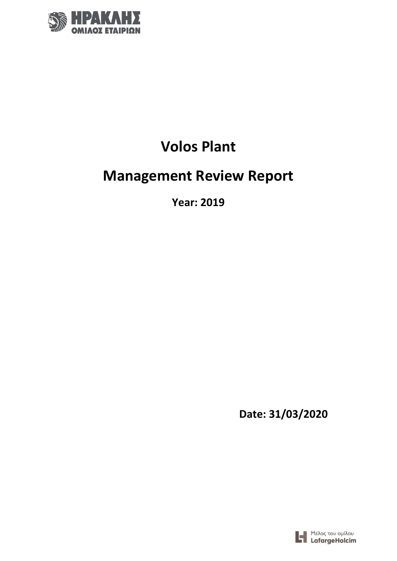

# **Volos Plant**

# **Management Review Report**

**Year: 2019**

**Date: 31/03/2020**

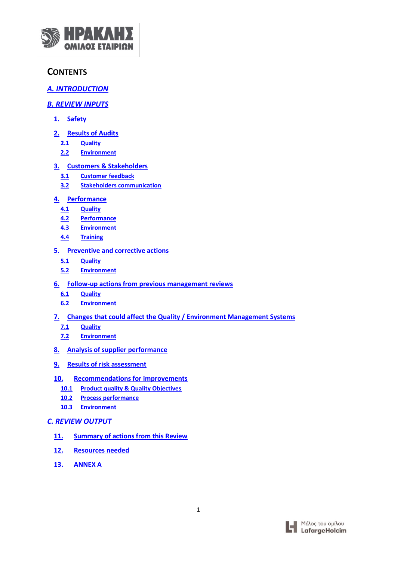

## **CONTENTS**

## *A. INTRODUCTION*

## *[B. REVIEW INPUTS](#page-3-0)*

- **[1.](#page-3-1) [Safety](#page-3-1)**
- **[2.](#page-5-0) [Results of Audits](#page-5-0)**
	- **[2.1](#page-5-1) [Quality](#page-5-1)**
	- **[2.2](#page-5-2) [Environment](#page-5-2)**

## **[3.](#page-6-0) [Customers & Stakeholders](#page-6-0)**

- **[3.1](#page-6-1) [Customer feedback](#page-6-1)**
- **[3.2](#page-7-0) [Stakeholders communication](#page-7-0)**

## **[4.](#page-7-1) [Performance](#page-7-1)**

- **[4.1](#page-8-0) [Quality](#page-8-0)**
- **[4.2](#page-11-0) [Performance](#page-11-0)**
- **[4.3](#page-13-0) [Environment](#page-13-0)**
- **[4.4](#page-19-0) [Training](#page-19-0)**

## **[5.](#page-20-0) [Preventive and corrective actions](#page-20-0)**

- **[5.1](#page-20-1) [Quality](#page-20-1)**
- **5.2 Environment**
- **[6.](#page-20-2) [Follow-up actions from previous management reviews](#page-20-2)**
	- **[6.1](#page-20-3) [Quality](#page-20-3)**
	- **[6.2](#page-21-0) [Environment](#page-21-0)**
- **[7.](#page-21-1) [Changes that could affect the Quality / Environment Management Systems](#page-21-1)**
	- **[7.1](#page-21-2) [Quality](#page-21-2)**
	- **[7.2](#page-23-0) [Environment](#page-23-0)**
- **[8.](#page-23-1) [Analysis of supplier performance](#page-23-1)**
- **[9.](#page-23-2) [Results of risk assessment](#page-23-2)**
- **[10.](#page-23-3) [Recommendations for improvements](#page-23-3)**
	- **[10.1](#page-23-4) [Product quality & Quality Objectives](#page-23-4)**
	- **[10.2](#page-24-0) [Process performance](#page-24-0)**
	- **[10.3](#page-24-1) [Environment](#page-24-1)**

## *[C. REVIEW OUTPUT](#page-24-2)*

- **[11.](#page-24-3) [Summary of actions from this Review](#page-24-3)**
- **[12.](#page-25-0) [Resources needed](#page-25-0)**
- **13. ANNEX A**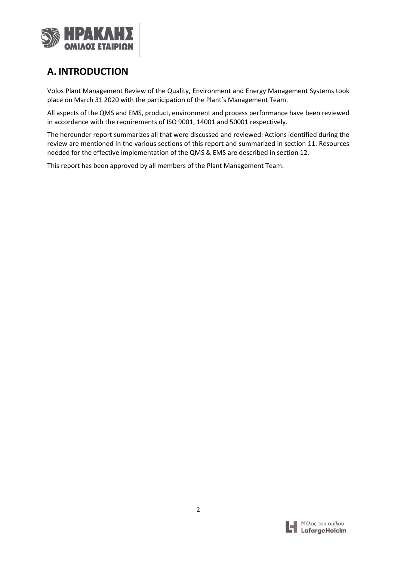

# **A. INTRODUCTION**

Volos Plant Management Review of the Quality, Environment and Energy Management Systems took place on March 31 2020 with the participation of the Plant's Management Team.

All aspects of the QMS and EMS, product, environment and process performance have been reviewed in accordance with the requirements of ISO 9001, 14001 and 50001 respectively.

The hereunder report summarizes all that were discussed and reviewed. Actions identified during the review are mentioned in the various sections of this report and summarized in section 11. Resources needed for the effective implementation of the QMS & EMS are described in section 12.

This report has been approved by all members of the Plant Management Team.

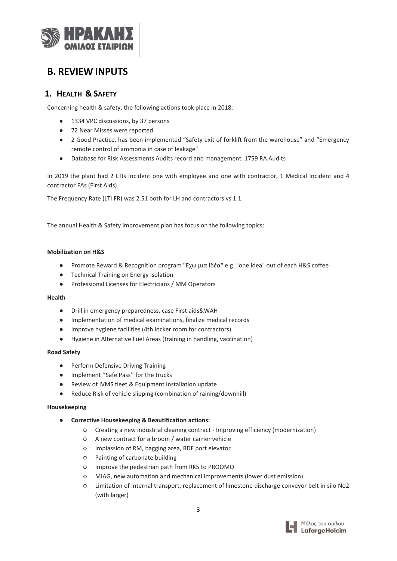

## <span id="page-3-0"></span>**B. REVIEW INPUTS**

## <span id="page-3-1"></span>**1. HEALTH & SAFETY**

Concerning health & safety, the following actions took place in 2018:

- 1334 VPC discussions, by 37 persons
- 72 Near Misses were reported
- 2 Good Practice, has been implemented "Safety exit of forklift from the warehouse" and "Emergency remote control of ammonia in case of leakage"
- Database for Risk Assessments Audits record and management. 1759 RA Audits

In 2019 the plant had 2 LTIs Incident one with employee and one with contractor, 1 Medical Incident and 4 contractor FAs (First Aids).

The Frequency Rate (LTI FR) was 2.51 both for LH and contractors vs 1.1.

The annual Health & Safety improvement plan has focus on the following topics:

#### **Mobilization on H&S**

- Promote Reward & Recognition program "Εχω μια Ιδέα" e.g. "one idea" out of each H&S coffee
- Technical Training on Energy Isolation
- Professional Licenses for Electricians / MM Operators

#### **Health**

- Drill in emergency preparedness, case First aids&WAH
- Implementation of medical examinations, finalize medical records
- Improve hygiene facilities (4th locker room for contractors)
- Hygiene in Alternative Fuel Areas (training in handling, vaccination)

#### **Road Safety**

- Perform Defensive Driving Training
- Implement ''Safe Pass'' for the trucks
- Review of IVMS fleet & Equipment installation update
- Reduce Risk of vehicle slipping (combination of raining/downhill)

#### **Housekeeping**

- **Corrective Housekeeping & Beautification actions:**
	- Creating a new industrial cleaning contract Improving efficiency (modernization)
	- A new contract for a broom / water carrier vehicle
	- Implassion of RM, bagging area, RDF port elevator
	- Painting of carbonate building
	- Improve the pedestrian path from RK5 to PROOMO
	- MIAG, new automation and mechanical improvements (lower dust emission)
	- Limitation of internal transport, replacement of limestone discharge conveyor belt in silo Νο2 (with larger)

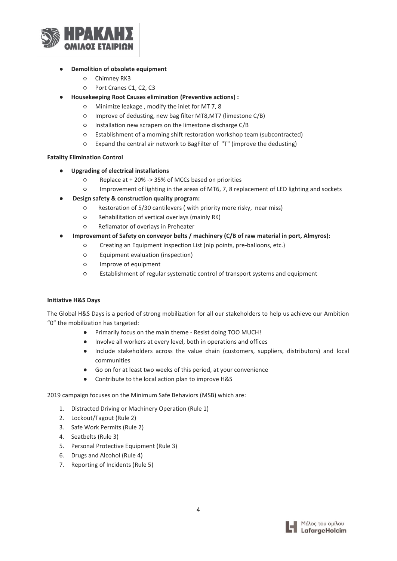

- **Demolition of obsolete equipment**
	- Chimney RK3
	- Port Cranes C1, C2, C3
- **Housekeeping Root Causes elimination (Preventive actions):** 
	- Minimize leakage , modify the inlet for MT 7, 8
	- Improve of dedusting, new bag filter MT8,MT7 (limestone C/B)
	- Installation new scrapers on the limestone discharge C/B
	- Establishment of a morning shift restoration workshop team (subcontracted)
	- Expand the central air network to BagFilter of "T" (improve the dedusting)

#### **Fatality Elimination Control**

- **Upgrading of electrical installations**
	- Replace at + 20% -> 35% of MCCs based on priorities
	- Improvement of lighting in the areas of MT6, 7, 8 replacement of LED lighting and sockets
- **Design safety & construction quality program:** 
	- Restoration of 5/30 cantilevers ( with priority more risky, near miss)
	- Rehabilitation of vertical overlays (mainly RK)
	- Reflamator of overlays in Preheater
- **Improvement of Safety on conveyor belts / machinery (C/B of raw material in port, Almyros):**
	- Creating an Equipment Inspection List (nip points, pre-balloons, etc.)
	- Equipment evaluation (inspection)
	- Improve of equipment
	- Establishment of regular systematic control of transport systems and equipment

#### **Initiative H&S Days**

The Global H&S Days is a period of strong mobilization for all our stakeholders to help us achieve our Ambition "0" the mobilization has targeted:

- Primarily focus on the main theme Resist doing TOO MUCH!
- Involve all workers at every level, both in operations and offices
- Include stakeholders across the value chain (customers, suppliers, distributors) and local communities
- Go on for at least two weeks of this period, at your convenience
- Contribute to the local action plan to improve H&S

2019 campaign focuses on the Minimum Safe Behaviors (MSB) which are:

- 1. Distracted Driving or Machinery Operation (Rule 1)
- 2. Lockout/Tagout (Rule 2)
- 3. Safe Work Permits (Rule 2)
- 4. Seatbelts (Rule 3)
- 5. Personal Protective Equipment (Rule 3)
- 6. Drugs and Alcohol (Rule 4)
- 7. Reporting of Incidents (Rule 5)

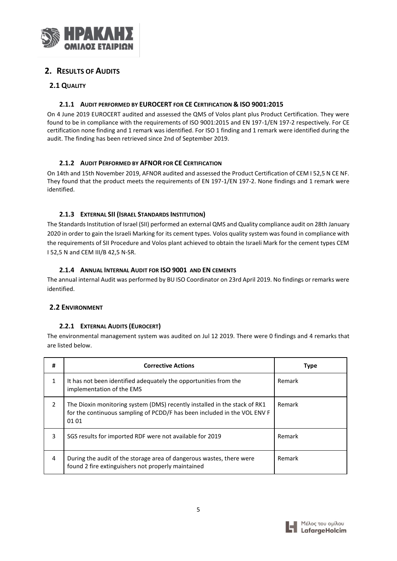

## <span id="page-5-0"></span>**2. RESULTS OF AUDITS**

## <span id="page-5-1"></span>**2.1 QUALITY**

## **2.1.1 AUDIT PERFORMED BY EUROCERT FOR CE CERTIFICATION & ISO 9001:2015**

On 4 June 2019 EUROCERT audited and assessed the QMS of Volos plant plus Product Certification. They were found to be in compliance with the requirements of ISO 9001:2015 and EN 197-1/EN 197-2 respectively. For CE certification none finding and 1 remark was identified. For ISO 1 finding and 1 remark were identified during the audit. The finding has been retrieved since 2nd of September 2019.

## **2.1.2 AUDIT PERFORMED BY AFNOR FOR CE CERTIFICATION**

On 14th and 15th November 2019, AFNOR audited and assessed the Product Certification of CEM I 52,5 N CE NF. They found that the product meets the requirements of EN 197-1/EN 197-2. None findings and 1 remark were identified.

## **2.1.3 EXTERNAL SII (ISRAEL STANDARDS INSTITUTION)**

The Standards Institution of Israel (SII) performed an external QMS and Quality compliance audit on 28th January 2020 in order to gain the Israeli Marking for its cement types. Volos quality system was found in compliance with the requirements of SII Procedure and Volos plant achieved to obtain the Israeli Mark for the cement types CEM I 52,5 N and CEM III/B 42,5 N-SR.

## **2.1.4 ANNUAL INTERNAL AUDIT FOR ISO 9001 AND EN CEMENTS**

The annual internal Audit was performed by BU ISO Coordinator on 23rd April 2019. No findings or remarks were identified.

## <span id="page-5-2"></span>**2.2 ENVIRONMENT**

#### **2.2.1 EXTERNAL AUDITS (EUROCERT)**

The environmental management system was audited on Jul 12 2019. There were 0 findings and 4 remarks that are listed below.

| #             | <b>Corrective Actions</b>                                                                                                                                      | Type   |
|---------------|----------------------------------------------------------------------------------------------------------------------------------------------------------------|--------|
|               | It has not been identified adequately the opportunities from the<br>implementation of the EMS                                                                  | Remark |
| $\mathcal{P}$ | The Dioxin monitoring system (DMS) recently installed in the stack of RK1<br>for the continuous sampling of PCDD/F has been included in the VOL ENV F<br>01 01 | Remark |
| 3             | SGS results for imported RDF were not available for 2019                                                                                                       | Remark |
| 4             | During the audit of the storage area of dangerous wastes, there were<br>found 2 fire extinguishers not properly maintained                                     | Remark |

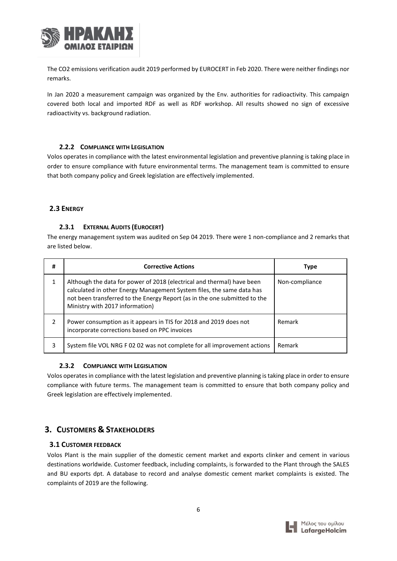

The CO2 emissions verification audit 2019 performed by EUROCERT in Feb 2020. There were neither findings nor remarks.

In Jan 2020 a measurement campaign was organized by the Env. authorities for radioactivity. This campaign covered both local and imported RDF as well as RDF workshop. All results showed no sign of excessive radioactivity vs. background radiation.

#### **2.2.2 COMPLIANCE WITH LEGISLATION**

Volos operates in compliance with the latest environmental legislation and preventive planning is taking place in order to ensure compliance with future environmental terms. The management team is committed to ensure that both company policy and Greek legislation are effectively implemented.

#### **2.3 ENERGY**

#### **2.3.1 EXTERNAL AUDITS (EUROCERT)**

The energy management system was audited on Sep 04 2019. There were 1 non-compliance and 2 remarks that are listed below.

| #             | <b>Corrective Actions</b>                                                                                                                                                                                                                                       | <b>Type</b>    |
|---------------|-----------------------------------------------------------------------------------------------------------------------------------------------------------------------------------------------------------------------------------------------------------------|----------------|
|               | Although the data for power of 2018 (electrical and thermal) have been<br>calculated in other Energy Management System files, the same data has<br>not been transferred to the Energy Report (as in the one submitted to the<br>Ministry with 2017 information) | Non-compliance |
| $\mathcal{P}$ | Power consumption as it appears in TIS for 2018 and 2019 does not<br>incorporate corrections based on PPC invoices                                                                                                                                              | Remark         |
| 3             | System file VOL NRG F 02 02 was not complete for all improvement actions                                                                                                                                                                                        | Remark         |

#### **2.3.2 COMPLIANCE WITH LEGISLATION**

Volos operates in compliance with the latest legislation and preventive planning is taking place in order to ensure compliance with future terms. The management team is committed to ensure that both company policy and Greek legislation are effectively implemented.

## <span id="page-6-0"></span>**3. CUSTOMERS & STAKEHOLDERS**

#### <span id="page-6-1"></span>**3.1 CUSTOMER FEEDBACK**

Volos Plant is the main supplier of the domestic cement market and exports clinker and cement in various destinations worldwide. Customer feedback, including complaints, is forwarded to the Plant through the SALES and BU exports dpt. A database to record and analyse domestic cement market complaints is existed. The complaints of 2019 are the following.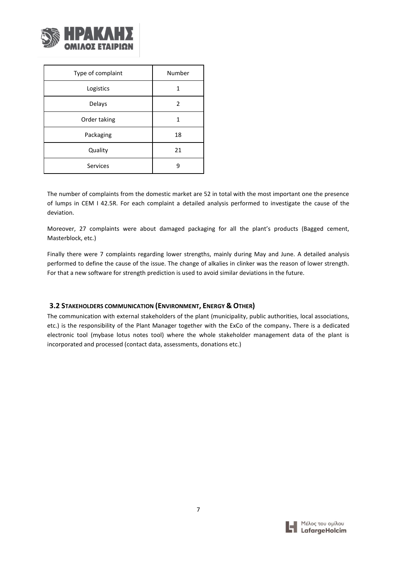

| Type of complaint | Number |
|-------------------|--------|
| Logistics         |        |
| Delays            | 2      |
| Order taking      | 1      |
| Packaging         | 18     |
| Quality           | 21     |
| <b>Services</b>   |        |

The number of complaints from the domestic market are 52 in total with the most important one the presence of lumps in CEM I 42.5R. For each complaint a detailed analysis performed to investigate the cause of the deviation.

Moreover, 27 complaints were about damaged packaging for all the plant's products (Bagged cement, Masterblock, etc.)

Finally there were 7 complaints regarding lower strengths, mainly during May and June. A detailed analysis performed to define the cause of the issue. The change of alkalies in clinker was the reason of lower strength. For that a new software for strength prediction is used to avoid similar deviations in the future.

#### <span id="page-7-0"></span>**3.2 STAKEHOLDERS COMMUNICATION (ENVIRONMENT, ENERGY & OTHER)**

<span id="page-7-1"></span>The communication with external stakeholders of the plant (municipality, public authorities, local associations, etc.) is the responsibility of the Plant Manager together with the ExCo of the company**.** There is a dedicated electronic tool (mybase lotus notes tool) where the whole stakeholder management data of the plant is incorporated and processed (contact data, assessments, donations etc.)

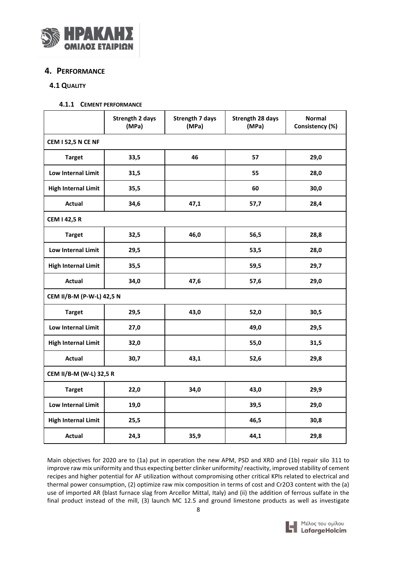

## **4. PERFORMANCE**

#### <span id="page-8-0"></span>**4.1 QUALITY**

**4.1.1 CEMENT PERFORMANCE**

|                            | <b>Strength 2 days</b><br>(MPa) | <b>Strength 7 days</b><br>(MPa) | <b>Strength 28 days</b><br>(MPa) | <b>Normal</b><br>Consistency (%) |  |  |  |  |  |  |
|----------------------------|---------------------------------|---------------------------------|----------------------------------|----------------------------------|--|--|--|--|--|--|
| <b>CEM I 52,5 N CE NF</b>  |                                 |                                 |                                  |                                  |  |  |  |  |  |  |
| <b>Target</b>              | 33,5                            | 46                              | 57                               | 29,0                             |  |  |  |  |  |  |
| <b>Low Internal Limit</b>  | 31,5                            |                                 | 55                               | 28,0                             |  |  |  |  |  |  |
| <b>High Internal Limit</b> | 35,5                            |                                 | 60                               | 30,0                             |  |  |  |  |  |  |
| <b>Actual</b>              | 34,6                            | 47,1                            | 57,7                             | 28,4                             |  |  |  |  |  |  |
| <b>CEM I 42,5 R</b>        |                                 |                                 |                                  |                                  |  |  |  |  |  |  |
| <b>Target</b>              | 32,5                            | 46,0                            | 56,5                             | 28,8                             |  |  |  |  |  |  |
| Low Internal Limit         | 29,5                            |                                 | 53,5                             | 28,0                             |  |  |  |  |  |  |
| <b>High Internal Limit</b> | 35,5                            |                                 | 59,5                             | 29,7                             |  |  |  |  |  |  |
| <b>Actual</b>              | 34,0                            | 47,6                            | 57,6                             | 29,0                             |  |  |  |  |  |  |
| CEM II/B-M (P-W-L) 42,5 N  |                                 |                                 |                                  |                                  |  |  |  |  |  |  |
| <b>Target</b>              | 29,5                            | 43,0                            | 52,0                             | 30,5                             |  |  |  |  |  |  |
| Low Internal Limit         | 27,0                            |                                 | 49,0                             | 29,5                             |  |  |  |  |  |  |
| <b>High Internal Limit</b> | 32,0                            |                                 | 55,0                             | 31,5                             |  |  |  |  |  |  |
| <b>Actual</b>              | 30,7                            | 43,1                            | 52,6                             | 29,8                             |  |  |  |  |  |  |
| CEM II/B-M (W-L) 32,5 R    |                                 |                                 |                                  |                                  |  |  |  |  |  |  |
| <b>Target</b>              | 22,0                            | 34,0                            | 43,0                             | 29,9                             |  |  |  |  |  |  |
| Low Internal Limit         | 19,0                            |                                 | 39,5                             | 29,0                             |  |  |  |  |  |  |
| <b>High Internal Limit</b> | 25,5                            |                                 | 46,5                             | 30,8                             |  |  |  |  |  |  |
| Actual                     | 24,3                            | 35,9                            | 44,1                             | 29,8                             |  |  |  |  |  |  |

Main objectives for 2020 are to (1a) put in operation the new APM, PSD and XRD and (1b) repair silo 311 to improve raw mix uniformity and thus expecting better clinker uniformity/ reactivity, improved stability of cement recipes and higher potential for AF utilization without compromising other critical KPIs related to electrical and thermal power consumption, (2) optimize raw mix composition in terms of cost and Cr2O3 content with the (a) use of imported AR (blast furnace slag from Arcellor Mittal, Italy) and (ii) the addition of ferrous sulfate in the final product instead of the mill, (3) launch MC 12.5 and ground limestone products as well as investigate

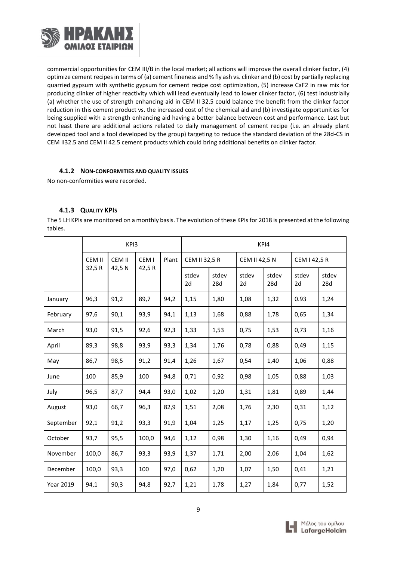

commercial opportunities for CEM III/B in the local market; all actions will improve the overall clinker factor, (4) optimize cement recipes in terms of (a) cement fineness and % fly ash vs. clinker and (b) cost by partially replacing quarried gypsum with synthetic gypsum for cement recipe cost optimization, (5) increase CaF2 in raw mix for producing clinker of higher reactivity which will lead eventually lead to lower clinker factor, (6) test industrially (a) whether the use of strength enhancing aid in CEM II 32.5 could balance the benefit from the clinker factor reduction in this cement product vs. the increased cost of the chemical aid and (b) investigate opportunities for being supplied with a strength enhancing aid having a better balance between cost and performance. Last but not least there are additional actions related to daily management of cement recipe (i.e. an already plant developed tool and a tool developed by the group) targeting to reduce the standard deviation of the 28d-CS in CEM II32.5 and CEM II 42.5 cement products which could bring additional benefits on clinker factor.

#### **4.1.2 NON-CONFORMITIES AND QUALITY ISSUES**

No non-conformities were recorded.

## **4.1.3 QUALITY KPIS**

The 5 LH KPIs are monitored on a monthly basis. The evolution of these KPIs for 2018 is presented at the following tables.

|                  | KP <sub>13</sub> |        |                  |       | KPI4        |               |             |                      |              |              |
|------------------|------------------|--------|------------------|-------|-------------|---------------|-------------|----------------------|--------------|--------------|
|                  | CEM II           | CEM II | CEM <sub>1</sub> | Plant |             | CEM II 32,5 R |             | <b>CEM II 42,5 N</b> | CEM I 42,5 R |              |
|                  | 32,5R            | 42,5N  | 42,5R            |       | stdev<br>2d | stdev<br>28d  | stdev<br>2d | stdev<br>28d         | stdev<br>2d  | stdev<br>28d |
| January          | 96,3             | 91,2   | 89,7             | 94,2  | 1,15        | 1,80          | 1,08        | 1,32                 | 0.93         | 1,24         |
| February         | 97,6             | 90,1   | 93,9             | 94,1  | 1,13        | 1,68          | 0,88        | 1,78                 | 0,65         | 1,34         |
| March            | 93,0             | 91,5   | 92,6             | 92,3  | 1,33        | 1,53          | 0,75        | 1,53                 | 0,73         | 1,16         |
| April            | 89,3             | 98,8   | 93,9             | 93,3  | 1,34        | 1,76          | 0,78        | 0,88                 | 0,49         | 1,15         |
| May              | 86,7             | 98,5   | 91,2             | 91,4  | 1,26        | 1,67          | 0,54        | 1,40                 | 1,06         | 0,88         |
| June             | 100              | 85,9   | 100              | 94,8  | 0,71        | 0,92          | 0,98        | 1,05                 | 0,88         | 1,03         |
| July             | 96,5             | 87,7   | 94,4             | 93,0  | 1,02        | 1,20          | 1,31        | 1,81                 | 0,89         | 1,44         |
| August           | 93,0             | 66,7   | 96,3             | 82,9  | 1,51        | 2,08          | 1,76        | 2,30                 | 0,31         | 1,12         |
| September        | 92,1             | 91,2   | 93,3             | 91,9  | 1,04        | 1,25          | 1,17        | 1,25                 | 0,75         | 1,20         |
| October          | 93,7             | 95,5   | 100,0            | 94,6  | 1,12        | 0,98          | 1,30        | 1,16                 | 0,49         | 0,94         |
| November         | 100,0            | 86,7   | 93,3             | 93,9  | 1,37        | 1,71          | 2,00        | 2,06                 | 1,04         | 1,62         |
| December         | 100,0            | 93,3   | 100              | 97,0  | 0,62        | 1,20          | 1,07        | 1,50                 | 0,41         | 1,21         |
| <b>Year 2019</b> | 94,1             | 90,3   | 94,8             | 92,7  | 1,21        | 1,78          | 1,27        | 1,84                 | 0,77         | 1,52         |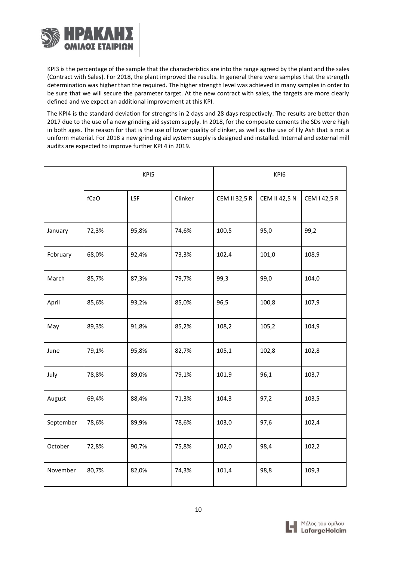

KPI3 is the percentage of the sample that the characteristics are into the range agreed by the plant and the sales (Contract with Sales). For 2018, the plant improved the results. In general there were samples that the strength determination was higher than the required. The higher strength level was achieved in many samples in order to be sure that we will secure the parameter target. At the new contract with sales, the targets are more clearly defined and we expect an additional improvement at this KPI.

The KPI4 is the standard deviation for strengths in 2 days and 28 days respectively. The results are better than 2017 due to the use of a new grinding aid system supply. In 2018, for the composite cements the SDs were high in both ages. The reason for that is the use of lower quality of clinker, as well as the use of Fly Ash that is not a uniform material. For 2018 a new grinding aid system supply is designed and installed. Internal and external mill audits are expected to improve further KPI 4 in 2019.

|           | KPI5  |       |         | KPI6                 |                      |              |
|-----------|-------|-------|---------|----------------------|----------------------|--------------|
|           | fCaO  | LSF   | Clinker | <b>CEM II 32,5 R</b> | <b>CEM II 42,5 N</b> | CEM I 42,5 R |
| January   | 72,3% | 95,8% | 74,6%   | 100,5                | 95,0                 | 99,2         |
| February  | 68,0% | 92,4% | 73,3%   | 102,4                | 101,0                | 108,9        |
| March     | 85,7% | 87,3% | 79,7%   | 99,3                 | 99,0                 | 104,0        |
| April     | 85,6% | 93,2% | 85,0%   | 96,5                 | 100,8                | 107,9        |
| May       | 89,3% | 91,8% | 85,2%   | 108,2                | 105,2                | 104,9        |
| June      | 79,1% | 95,8% | 82,7%   | 105,1                | 102,8                | 102,8        |
| July      | 78,8% | 89,0% | 79,1%   | 101,9                | 96,1                 | 103,7        |
| August    | 69,4% | 88,4% | 71,3%   | 104,3                | 97,2                 | 103,5        |
| September | 78,6% | 89,9% | 78,6%   | 103,0                | 97,6                 | 102,4        |
| October   | 72,8% | 90,7% | 75,8%   | 102,0                | 98,4                 | 102,2        |
| November  | 80,7% | 82,0% | 74,3%   | 101,4                | 98,8                 | 109,3        |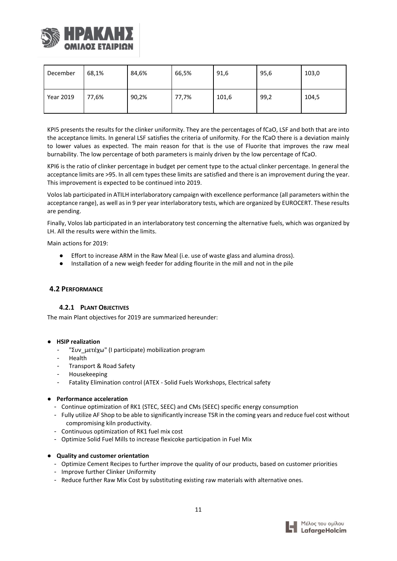

| December  | 68,1% | 84,6% | 66,5% | 91,6  | 95,6 | 103,0 |
|-----------|-------|-------|-------|-------|------|-------|
| Year 2019 | 77,6% | 90,2% | 77,7% | 101,6 | 99,2 | 104,5 |

KPI5 presents the results for the clinker uniformity. They are the percentages of fCaO, LSF and both that are into the acceptance limits. In general LSF satisfies the criteria of uniformity. For the fCaO there is a deviation mainly to lower values as expected. The main reason for that is the use of Fluorite that improves the raw meal burnability. The low percentage of both parameters is mainly driven by the low percentage of fCaO.

KPI6 is the ratio of clinker percentage in budget per cement type to the actual clinker percentage. In general the acceptance limits are >95. In all cem types these limits are satisfied and there is an improvement during the year. This improvement is expected to be continued into 2019.

Volos lab participated in ATILH interlaboratory campaign with excellence performance (all parameters within the acceptance range), as well as in 9 per year interlaboratory tests, which are organized by EUROCERT. These results are pending.

Finally, Volos lab participated in an interlaboratory test concerning the alternative fuels, which was organized by LH. All the results were within the limits.

Main actions for 2019:

- Effort to increase ARM in the Raw Meal (i.e. use of waste glass and alumina dross).
- Installation of a new weigh feeder for adding flourite in the mill and not in the pile

#### <span id="page-11-0"></span>**4.2 PERFORMANCE**

#### **4.2.1 PLANT OBJECTIVES**

The main Plant objectives for 2019 are summarized hereunder:

#### ● **HSIP realization**

- "Συν\_μετέχω" (I participate) mobilization program
- Health
- Transport & Road Safety
- Housekeeping
- Fatality Elimination control (ATEX Solid Fuels Workshops, Electrical safety

#### ● **Performance acceleration**

- Continue optimization of RK1 (STEC, SEEC) and CMs (SEEC) specific energy consumption
- Fully utilize AF Shop to be able to significantly increase TSR in the coming years and reduce fuel cost without compromising kiln productivity.
- Continuous optimization of RK1 fuel mix cost
- Optimize Solid Fuel Mills to increase flexicoke participation in Fuel Mix

#### ● **Quality and customer orientation**

- Optimize Cement Recipes to further improve the quality of our products, based on customer priorities
- Improve further Clinker Uniformity
- Reduce further Raw Mix Cost by substituting existing raw materials with alternative ones.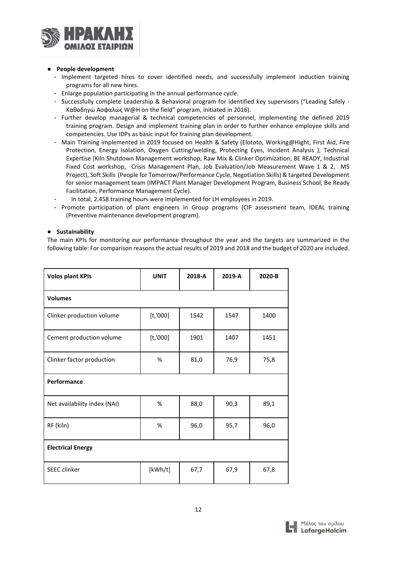

#### ● **People development**

- Implement targeted hires to cover identified needs, and successfully implement induction training programs for all new hires.
- Enlarge population participating in the annual performance cycle.
- Successfully complete Leadership & Behavioral program for identified key supervisors ("Leading Safely Καθοδηγώ Ασφαλώς W@H on the field" program, initiated in 2016).
- Further develop managerial & technical competencies of personnel, implementing the defined 2019 training program. Design and implement training plan in order to further enhance employee skills and competencies. Use IDPs as basic input for training plan development.
- Main Training implemented in 2019 focused on Health & Safety (Elototo, Working@Hight, First Aid, Fire Protection, Energy Isolation, Oxygen Cutting/welding, Protecting Eyes, Incident Analysis ), Technical Expertise (Kiln Shutdown Management workshop, Raw Mix & Clinker Optimization, BE READY, Industrial Fixed Cost workshop, Crisis Management Plan, Job Evaluation/Job Measurement Wave 1 & 2, MS Project), Soft Skills (People for Tomorrow/Performance Cycle, Negotiation Skills) & targeted Development for senior management team (IMPACT Plant Manager Development Program, Business School, Be Ready Facilitation, Performance Management Cycle).
- In total, 2.458 training hours were implemented for LH employees in 2019.
- Promote participation of plant engineers in Group programs (CIF assessment team, IDEAL training (Preventive maintenance development program).

#### ● **Sustainability**

The main KPIs for monitoring our performance throughout the year and the targets are summarized in the following table: For comparison reasons the actual results of 2019 and 2018 and the budget of 2020 are included.

| <b>Volos plant KPIs</b>      | <b>UNIT</b> | 2018-A | 2019-A | 2020-B |  |  |  |  |  |
|------------------------------|-------------|--------|--------|--------|--|--|--|--|--|
| <b>Volumes</b>               |             |        |        |        |  |  |  |  |  |
| Clinker production volume    | [t, 000]    | 1542   | 1547   | 1400   |  |  |  |  |  |
| Cement production volume     | [t, 000]    | 1901   | 1407   | 1451   |  |  |  |  |  |
| Clinker factor production    | $\%$        | 81,0   | 76,9   | 75,8   |  |  |  |  |  |
| Performance                  |             |        |        |        |  |  |  |  |  |
| Net availability index (NAI) | %           | 88,0   | 90,3   | 89,1   |  |  |  |  |  |
| RF (kiln)                    | %           | 96,0   | 95,7   | 96,0   |  |  |  |  |  |
| <b>Electrical Energy</b>     |             |        |        |        |  |  |  |  |  |
| <b>SEEC</b> clinker          | [kWh/t]     | 67,7   | 67,9   | 67,8   |  |  |  |  |  |

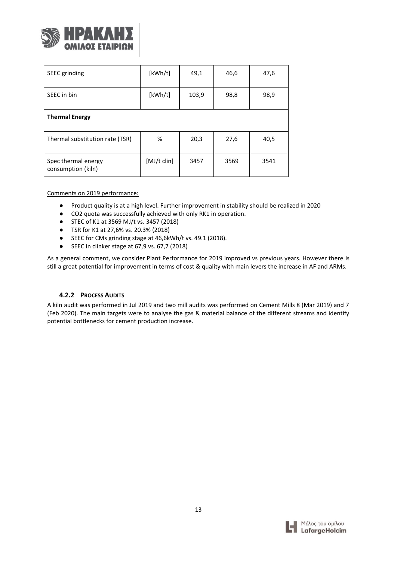

| SEEC grinding                             | [kWh/t]       | 49,1  | 46,6 | 47,6 |  |  |  |
|-------------------------------------------|---------------|-------|------|------|--|--|--|
| SEEC in bin                               | [kWh/t]       | 103,9 | 98,8 | 98,9 |  |  |  |
| <b>Thermal Energy</b>                     |               |       |      |      |  |  |  |
| Thermal substitution rate (TSR)           | %             | 20,3  | 27,6 | 40,5 |  |  |  |
| Spec thermal energy<br>consumption (kiln) | $[MJ/t$ clin] | 3457  | 3569 | 3541 |  |  |  |

Comments on 2019 performance:

- Product quality is at a high level. Further improvement in stability should be realized in 2020
- CO2 quota was successfully achieved with only RK1 in operation.
- STEC of K1 at 3569 MJ/t vs. 3457 (2018)
- TSR for K1 at 27,6% vs. 20.3% (2018)
- SEEC for CMs grinding stage at 46,6kWh/t vs. 49.1 (2018).
- SEEC in clinker stage at 67,9 vs. 67,7 (2018)

As a general comment, we consider Plant Performance for 2019 improved vs previous years. However there is still a great potential for improvement in terms of cost & quality with main levers the increase in AF and ARMs.

#### **4.2.2 PROCESS AUDITS**

<span id="page-13-0"></span>A kiln audit was performed in Jul 2019 and two mill audits was performed on Cement Mills 8 (Mar 2019) and 7 (Feb 2020). The main targets were to analyse the gas & material balance of the different streams and identify potential bottlenecks for cement production increase.

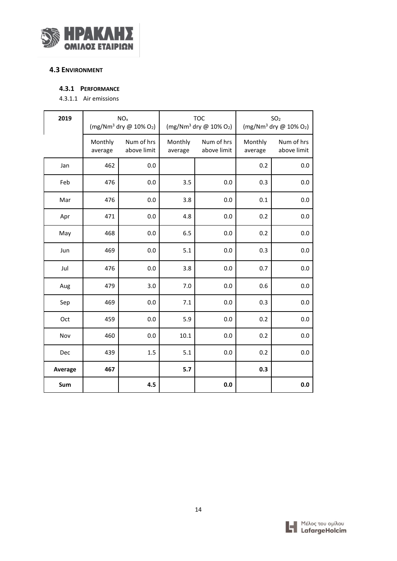

## **4.3 ENVIRONMENT**

#### **4.3.1 PERFORMANCE**

4.3.1.1 Air emissions

| 2019    |                    | NO <sub>x</sub><br>$(mg/Nm3$ dry @ 10% O <sub>2</sub> ) |                    | <b>TOC</b><br>(mg/Nm <sup>3</sup> dry @ 10% O <sub>2</sub> ) | SO <sub>2</sub><br>(mg/Nm <sup>3</sup> dry $@$ 10% O <sub>2</sub> ) |                           |
|---------|--------------------|---------------------------------------------------------|--------------------|--------------------------------------------------------------|---------------------------------------------------------------------|---------------------------|
|         | Monthly<br>average | Num of hrs<br>above limit                               | Monthly<br>average | Num of hrs<br>above limit                                    | Monthly<br>average                                                  | Num of hrs<br>above limit |
| Jan     | 462                | 0.0                                                     |                    |                                                              | 0.2                                                                 | 0.0                       |
| Feb     | 476                | 0.0                                                     | 3.5                | 0.0                                                          | 0.3                                                                 | 0.0                       |
| Mar     | 476                | 0.0                                                     | 3.8                | 0.0                                                          | $0.1\,$                                                             | 0.0                       |
| Apr     | 471                | 0.0                                                     | 4.8                | 0.0                                                          | 0.2                                                                 | 0.0                       |
| May     | 468                | 0.0                                                     | 6.5                | 0.0                                                          | 0.2                                                                 | 0.0                       |
| Jun     | 469                | 0.0                                                     | 5.1                | 0.0                                                          | 0.3                                                                 | 0.0                       |
| Jul     | 476                | 0.0                                                     | 3.8                | 0.0                                                          | 0.7                                                                 | 0.0                       |
| Aug     | 479                | 3.0                                                     | 7.0                | 0.0                                                          | 0.6                                                                 | 0.0                       |
| Sep     | 469                | 0.0                                                     | 7.1                | 0.0                                                          | 0.3                                                                 | 0.0                       |
| Oct     | 459                | 0.0                                                     | 5.9                | 0.0                                                          | 0.2                                                                 | 0.0                       |
| Nov     | 460                | 0.0                                                     | 10.1               | 0.0                                                          | 0.2                                                                 | 0.0                       |
| Dec     | 439                | 1.5                                                     | 5.1                | 0.0                                                          | 0.2                                                                 | 0.0                       |
| Average | 467                |                                                         | 5.7                |                                                              | 0.3                                                                 |                           |
| Sum     |                    | 4.5                                                     |                    | 0.0                                                          |                                                                     | 0.0                       |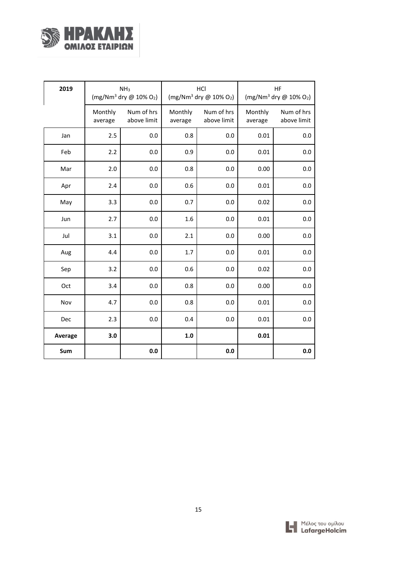

| 2019    |                    | NH <sub>3</sub><br>$(mg/Nm^3$ dry @ 10% O2) |                    | HCI<br>$(mg/Nm3$ dry @ 10% O <sub>2</sub> ) | HF<br>$(mg/Nm^3$ dry @ 10% O <sub>2</sub> ) |                           |  |
|---------|--------------------|---------------------------------------------|--------------------|---------------------------------------------|---------------------------------------------|---------------------------|--|
|         | Monthly<br>average | Num of hrs<br>above limit                   | Monthly<br>average | Num of hrs<br>above limit                   | Monthly<br>average                          | Num of hrs<br>above limit |  |
| Jan     | 2.5                | 0.0                                         | 0.8                | 0.0                                         | 0.01                                        | 0.0                       |  |
| Feb     | 2.2                | 0.0                                         | 0.9                | 0.0                                         | 0.01                                        | 0.0                       |  |
| Mar     | 2.0                | 0.0                                         | 0.8                | 0.0                                         | 0.00                                        | 0.0                       |  |
| Apr     | 2.4                | 0.0                                         | 0.6                | 0.0                                         | 0.01                                        | 0.0                       |  |
| May     | 3.3                | 0.0                                         | 0.7                | 0.0                                         | 0.02                                        | 0.0                       |  |
| Jun     | 2.7                | 0.0                                         | 1.6                | 0.0                                         | 0.01                                        | 0.0                       |  |
| Jul     | 3.1                | 0.0                                         | 2.1                | 0.0                                         | 0.00                                        | 0.0                       |  |
| Aug     | 4.4                | 0.0                                         | 1.7                | 0.0                                         | 0.01                                        | 0.0                       |  |
| Sep     | 3.2                | 0.0                                         | 0.6                | 0.0                                         | 0.02                                        | 0.0                       |  |
| Oct     | 3.4                | 0.0                                         | 0.8                | 0.0                                         | 0.00                                        | 0.0                       |  |
| Nov     | 4.7                | 0.0                                         | 0.8                | 0.0                                         | 0.01                                        | 0.0                       |  |
| Dec     | 2.3                | 0.0                                         | 0.4                | 0.0                                         | 0.01                                        | 0.0                       |  |
| Average | 3.0                |                                             | 1.0                |                                             | 0.01                                        |                           |  |
| Sum     |                    | 0.0                                         |                    | 0.0                                         |                                             | 0.0                       |  |

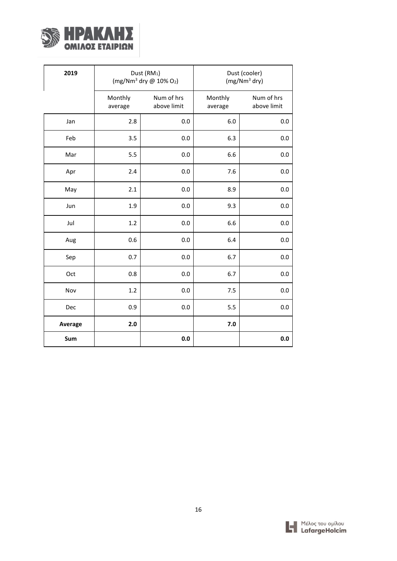

| 2019    |                    | Dust (RM <sub>1</sub> )<br>$(mg/Nm^3$ dry @ 10% O <sub>2</sub> ) |                    | Dust (cooler)<br>$(mg/Nm3$ dry) |
|---------|--------------------|------------------------------------------------------------------|--------------------|---------------------------------|
|         | Monthly<br>average | Num of hrs<br>above limit                                        | Monthly<br>average | Num of hrs<br>above limit       |
| Jan     | 2.8                | 0.0                                                              | 6.0                | 0.0                             |
| Feb     | 3.5                | 0.0                                                              | 6.3                | 0.0                             |
| Mar     | 5.5                | 0.0                                                              | 6.6                | 0.0                             |
| Apr     | 2.4                | 0.0                                                              | 7.6                | 0.0                             |
| May     | 2.1                | 0.0                                                              | 8.9                | 0.0                             |
| Jun     | 1.9                | 0.0                                                              | 9.3                | 0.0                             |
| Jul     | 1.2                | 0.0                                                              | 6.6                | 0.0                             |
| Aug     | 0.6                | 0.0                                                              | 6.4                | 0.0                             |
| Sep     | 0.7                | 0.0                                                              | 6.7                | 0.0                             |
| Oct     | 0.8                | 0.0                                                              | 6.7                | 0.0                             |
| Nov     | 1.2                | 0.0                                                              | 7.5                | 0.0                             |
| Dec     | 0.9                | 0.0                                                              | 5.5                | 0.0                             |
| Average | 2.0                |                                                                  | 7.0                |                                 |
| Sum     |                    | 0.0                                                              |                    | 0.0                             |

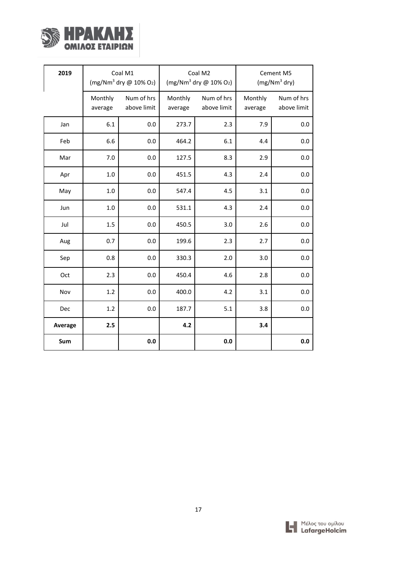

| 2019    | Coal M1<br>(mg/Nm <sup>3</sup> dry $@$ 10% O <sub>2</sub> ) |                           | Coal M2<br>(mg/Nm <sup>3</sup> dry @ 10% O <sub>2</sub> ) |                           | Cement M5<br>$(mg/Nm3$ dry) |                           |
|---------|-------------------------------------------------------------|---------------------------|-----------------------------------------------------------|---------------------------|-----------------------------|---------------------------|
|         | Monthly<br>average                                          | Num of hrs<br>above limit | Monthly<br>average                                        | Num of hrs<br>above limit | Monthly<br>average          | Num of hrs<br>above limit |
| Jan     | 6.1                                                         | 0.0                       | 273.7                                                     | 2.3                       | 7.9                         | 0.0                       |
| Feb     | 6.6                                                         | 0.0                       | 464.2                                                     | 6.1                       | 4.4                         | 0.0                       |
| Mar     | 7.0                                                         | 0.0                       | 127.5                                                     | 8.3                       | 2.9                         | 0.0                       |
| Apr     | 1.0                                                         | 0.0                       | 451.5                                                     | 4.3                       | 2.4                         | 0.0                       |
| May     | 1.0                                                         | 0.0                       | 547.4                                                     | 4.5                       | 3.1                         | 0.0                       |
| Jun     | 1.0                                                         | 0.0                       | 531.1                                                     | 4.3                       | 2.4                         | 0.0                       |
| Jul     | 1.5                                                         | 0.0                       | 450.5                                                     | 3.0                       | 2.6                         | 0.0                       |
| Aug     | 0.7                                                         | 0.0                       | 199.6                                                     | 2.3                       | 2.7                         | 0.0                       |
| Sep     | 0.8                                                         | 0.0                       | 330.3                                                     | 2.0                       | 3.0                         | 0.0                       |
| Oct     | 2.3                                                         | 0.0                       | 450.4                                                     | 4.6                       | 2.8                         | 0.0                       |
| Nov     | 1.2                                                         | 0.0                       | 400.0                                                     | 4.2                       | 3.1                         | 0.0                       |
| Dec     | 1.2                                                         | 0.0                       | 187.7                                                     | $5.1\,$                   | 3.8                         | 0.0                       |
| Average | 2.5                                                         |                           | 4.2                                                       |                           | 3.4                         |                           |
| Sum     |                                                             | 0.0                       |                                                           | 0.0                       |                             | 0.0                       |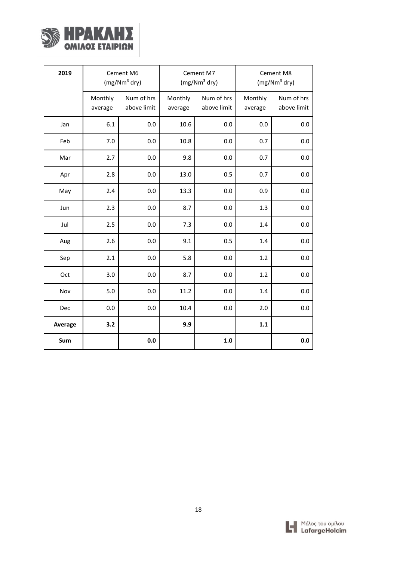

| 2019    | Cement M6<br>$(mg/Nm3$ dry) |                           | Cement M7<br>$(mg/Nm3$ dry) |                           | Cement M8<br>$(mg/Nm3$ dry) |                           |
|---------|-----------------------------|---------------------------|-----------------------------|---------------------------|-----------------------------|---------------------------|
|         | Monthly<br>average          | Num of hrs<br>above limit | Monthly<br>average          | Num of hrs<br>above limit | Monthly<br>average          | Num of hrs<br>above limit |
| Jan     | 6.1                         | 0.0                       | 10.6                        | 0.0                       | 0.0                         | 0.0                       |
| Feb     | 7.0                         | 0.0                       | 10.8                        | 0.0                       | 0.7                         | 0.0                       |
| Mar     | 2.7                         | 0.0                       | 9.8                         | 0.0                       | 0.7                         | 0.0                       |
| Apr     | 2.8                         | 0.0                       | 13.0                        | 0.5                       | 0.7                         | 0.0                       |
| May     | 2.4                         | $0.0\,$                   | 13.3                        | 0.0                       | 0.9                         | 0.0                       |
| Jun     | 2.3                         | 0.0                       | 8.7                         | 0.0                       | 1.3                         | 0.0                       |
| Jul     | 2.5                         | $0.0\,$                   | 7.3                         | 0.0                       | 1.4                         | 0.0                       |
| Aug     | 2.6                         | $0.0\,$                   | 9.1                         | 0.5                       | 1.4                         | 0.0                       |
| Sep     | 2.1                         | 0.0                       | 5.8                         | 0.0                       | 1.2                         | 0.0                       |
| Oct     | 3.0                         | 0.0                       | 8.7                         | 0.0                       | 1.2                         | 0.0                       |
| Nov     | 5.0                         | 0.0                       | 11.2                        | 0.0                       | 1.4                         | 0.0                       |
| Dec     | 0.0                         | 0.0                       | 10.4                        | 0.0                       | 2.0                         | 0.0                       |
| Average | 3.2                         |                           | 9.9                         |                           | $1.1\,$                     |                           |
| Sum     |                             | $0.0\,$                   |                             | $1.0\,$                   |                             | 0.0                       |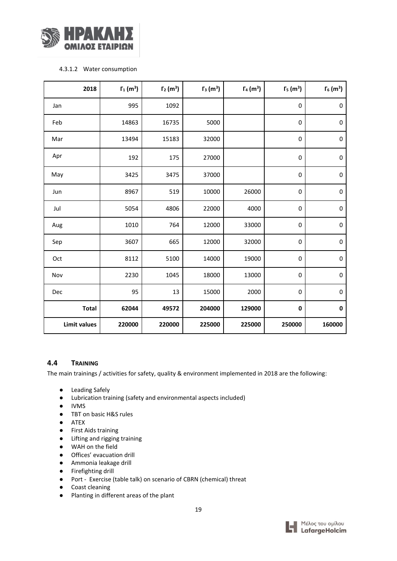

#### 4.3.1.2 Water consumption

| 2018                | $\Gamma_1$ (m <sup>3</sup> ) | $\Gamma_2$ (m <sup>3</sup> ) | $\Gamma_3$ (m <sup>3</sup> ) | $\Gamma_4$ (m <sup>3</sup> ) | $\Gamma_5$ (m <sup>3</sup> ) | $\Gamma_6$ (m <sup>3</sup> ) |
|---------------------|------------------------------|------------------------------|------------------------------|------------------------------|------------------------------|------------------------------|
| Jan                 | 995                          | 1092                         |                              |                              | $\pmb{0}$                    | $\mathbf 0$                  |
| Feb                 | 14863                        | 16735                        | 5000                         |                              | 0                            | $\mathbf 0$                  |
| Mar                 | 13494                        | 15183                        | 32000                        |                              | $\pmb{0}$                    | $\mathbf 0$                  |
| Apr                 | 192                          | 175                          | 27000                        |                              | 0                            | $\pmb{0}$                    |
| May                 | 3425                         | 3475                         | 37000                        |                              | $\pmb{0}$                    | $\pmb{0}$                    |
| Jun                 | 8967                         | 519                          | 10000                        | 26000                        | $\pmb{0}$                    | $\pmb{0}$                    |
| Jul                 | 5054                         | 4806                         | 22000                        | 4000                         | 0                            | $\pmb{0}$                    |
| Aug                 | 1010                         | 764                          | 12000                        | 33000                        | $\pmb{0}$                    | $\pmb{0}$                    |
| Sep                 | 3607                         | 665                          | 12000                        | 32000                        | 0                            | 0                            |
| Oct                 | 8112                         | 5100                         | 14000                        | 19000                        | $\pmb{0}$                    | $\pmb{0}$                    |
| Nov                 | 2230                         | 1045                         | 18000                        | 13000                        | $\pmb{0}$                    | $\mathbf 0$                  |
| Dec                 | 95                           | 13                           | 15000                        | 2000                         | $\pmb{0}$                    | $\pmb{0}$                    |
| <b>Total</b>        | 62044                        | 49572                        | 204000                       | 129000                       | $\pmb{0}$                    | $\pmb{0}$                    |
| <b>Limit values</b> | 220000                       | 220000                       | 225000                       | 225000                       | 250000                       | 160000                       |

## <span id="page-19-0"></span>**4.4 TRAINING**

The main trainings / activities for safety, quality & environment implemented in 2018 are the following:

- Leading Safely
- Lubrication training (safety and environmental aspects included)
- IVMS
- TBT on basic H&S rules
- ATEX
- First Aids training
- Lifting and rigging training
- WAH on the field
- Offices' evacuation drill
- Ammonia leakage drill
- Firefighting drill
- Port Exercise (table talk) on scenario of CBRN (chemical) threat
- Coast cleaning
- Planting in different areas of the plant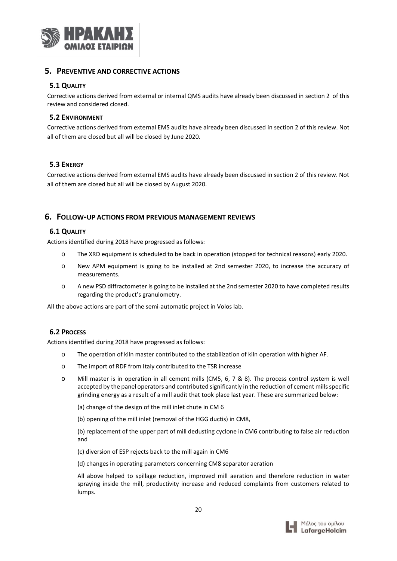

#### <span id="page-20-0"></span>**5. PREVENTIVE AND CORRECTIVE ACTIONS**

#### <span id="page-20-1"></span>**5.1 QUALITY**

Corrective actions derived from external or internal QMS audits have already been discussed in section 2 of this review and considered closed.

#### **5.2 ENVIRONMENT**

Corrective actions derived from external EMS audits have already been discussed in section 2 of this review. Not all of them are closed but all will be closed by June 2020.

#### **5.3 ENERGY**

Corrective actions derived from external EMS audits have already been discussed in section 2 of this review. Not all of them are closed but all will be closed by August 2020.

#### <span id="page-20-2"></span>**6. FOLLOW-UP ACTIONS FROM PREVIOUS MANAGEMENT REVIEWS**

#### <span id="page-20-3"></span>**6.1 QUALITY**

Actions identified during 2018 have progressed as follows:

- o The XRD equipment is scheduled to be back in operation (stopped for technical reasons) early 2020.
- o New APM equipment is going to be installed at 2nd semester 2020, to increase the accuracy of measurements.
- o A new PSD diffractometer is going to be installed at the 2nd semester 2020 to have completed results regarding the product's granulometry.

All the above actions are part of the semi-automatic project in Volos lab.

#### **6.2 PROCESS**

Actions identified during 2018 have progressed as follows:

- o The operation of kiln master contributed to the stabilization of kiln operation with higher AF.
- o The import of RDF from Italy contributed to the TSR increase
- o Mill master is in operation in all cement mills (CM5, 6, 7 & 8). The process control system is well accepted by the panel operators and contributed significantly in the reduction of cement mills specific grinding energy as a result of a mill audit that took place last year. These are summarized below:
	- (a) change of the design of the mill inlet chute in CM 6
	- (b) opening of the mill inlet (removal of the HGG ductis) in CM8,

(b) replacement of the upper part of mill dedusting cyclone in CM6 contributing to false air reduction and

- (c) diversion of ESP rejects back to the mill again in CM6
- (d) changes in operating parameters concerning CM8 separator aeration

All above helped to spillage reduction, improved mill aeration and therefore reduction in water spraying inside the mill, productivity increase and reduced complaints from customers related to lumps.

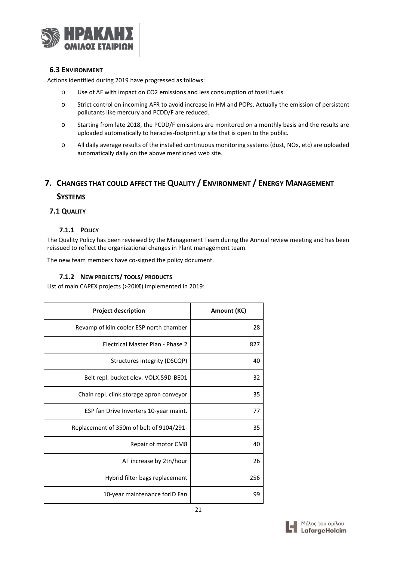

#### <span id="page-21-0"></span>**6.3 ENVIRONMENT**

Actions identified during 2019 have progressed as follows:

- o Use of AF with impact on CO2 emissions and less consumption of fossil fuels
- o Strict control on incoming AFR to avoid increase in HM and POPs. Actually the emission of persistent pollutants like mercury and PCDD/F are reduced.
- o Starting from late 2018, the PCDD/F emissions are monitored on a monthly basis and the results are uploaded automatically to heracles-footprint.gr site that is open to the public.
- o All daily average results of the installed continuous monitoring systems (dust, NOx, etc) are uploaded automatically daily on the above mentioned web site.

## <span id="page-21-1"></span>**7. CHANGES THAT COULD AFFECT THE QUALITY / ENVIRONMENT / ENERGY MANAGEMENT**

#### **SYSTEMS**

#### <span id="page-21-2"></span>**7.1 QUALITY**

#### **7.1.1 POLICY**

The Quality Policy has been reviewed by the Management Team during the Annual review meeting and has been reissued to reflect the organizational changes in Plant management team.

The new team members have co-signed the policy document.

## **7.1.2 NEW PROJECTS/ TOOLS/ PRODUCTS**

List of main CAPEX projects (>20K**€**) implemented in 2019:

| <b>Project description</b>               | Amount (K€) |
|------------------------------------------|-------------|
| Revamp of kiln cooler ESP north chamber  | 28          |
| Electrical Master Plan - Phase 2         | 827         |
| Structures integrity (DSCQP)             | 40          |
| Belt repl. bucket elev. VOLX.59D-BE01    | 32          |
| Chain repl. clink.storage apron conveyor | 35          |
| ESP fan Drive Inverters 10-year maint.   | 77          |
| Replacement of 350m of belt of 9104/291- | 35          |
| Repair of motor CM8                      | 40          |
| AF increase by 2tn/hour                  | 26          |
| Hybrid filter bags replacement           | 256         |
| 10-year maintenance forID Fan            | 99          |

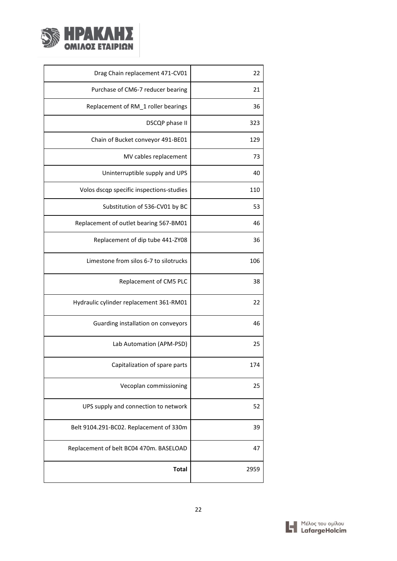

| Drag Chain replacement 471-CV01          | 22   |
|------------------------------------------|------|
| Purchase of CM6-7 reducer bearing        | 21   |
| Replacement of RM_1 roller bearings      | 36   |
| DSCQP phase II                           | 323  |
| Chain of Bucket conveyor 491-BE01        | 129  |
| MV cables replacement                    | 73   |
| Uninterruptible supply and UPS           | 40   |
| Volos dscqp specific inspections-studies | 110  |
| Substitution of 536-CV01 by BC           | 53   |
| Replacement of outlet bearing 567-BM01   | 46   |
| Replacement of dip tube 441-ZY08         | 36   |
| Limestone from silos 6-7 to silotrucks   | 106  |
| Replacement of CM5 PLC                   | 38   |
| Hydraulic cylinder replacement 361-RM01  | 22   |
| Guarding installation on conveyors       | 46   |
| Lab Automation (APM-PSD)                 | 25   |
| Capitalization of spare parts            | 174  |
| Vecoplan commissioning                   | 25   |
| UPS supply and connection to network     | 52   |
| Belt 9104.291-BC02. Replacement of 330m  | 39   |
| Replacement of belt BC04 470m. BASELOAD  | 47   |
| <b>Total</b>                             | 2959 |

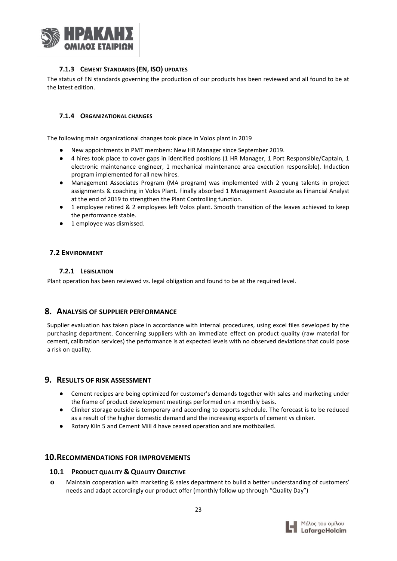

## **7.1.3 CEMENT STANDARDS (EN, ISO) UPDATES**

The status of EN standards governing the production of our products has been reviewed and all found to be at the latest edition.

#### **7.1.4 ORGANIZATIONAL CHANGES**

The following main organizational changes took place in Volos plant in 2019

- New appointments in PMT members: New HR Manager since September 2019.
- 4 hires took place to cover gaps in identified positions (1 HR Manager, 1 Port Responsible/Captain, 1 electronic maintenance engineer, 1 mechanical maintenance area execution responsible). Induction program implemented for all new hires.
- Management Associates Program (MA program) was implemented with 2 young talents in project assignments & coaching in Volos Plant. Finally absorbed 1 Management Associate as Financial Analyst at the end of 2019 to strengthen the Plant Controlling function.
- 1 employee retired & 2 employees left Volos plant. Smooth transition of the leaves achieved to keep the performance stable.
- 1 employee was dismissed.

## <span id="page-23-0"></span>**7.2 ENVIRONMENT**

#### **7.2.1 LEGISLATION**

Plant operation has been reviewed vs. legal obligation and found to be at the required level.

#### <span id="page-23-1"></span>**8. ANALYSIS OF SUPPLIER PERFORMANCE**

Supplier evaluation has taken place in accordance with internal procedures, using excel files developed by the purchasing department. Concerning suppliers with an immediate effect on product quality (raw material for cement, calibration services) the performance is at expected levels with no observed deviations that could pose a risk on quality.

#### <span id="page-23-2"></span>**9. RESULTS OF RISK ASSESSMENT**

- Cement recipes are being optimized for customer's demands together with sales and marketing under the frame of product development meetings performed on a monthly basis.
- Clinker storage outside is temporary and according to exports schedule. The forecast is to be reduced as a result of the higher domestic demand and the increasing exports of cement vs clinker.
- Rotary Kiln 5 and Cement Mill 4 have ceased operation and are mothballed.

#### <span id="page-23-3"></span>**10.RECOMMENDATIONS FOR IMPROVEMENTS**

#### <span id="page-23-4"></span>**10.1 PRODUCT QUALITY & QUALITY OBJECTIVE**

**o** Maintain cooperation with marketing & sales department to build a better understanding of customers' needs and adapt accordingly our product offer (monthly follow up through "Quality Day")

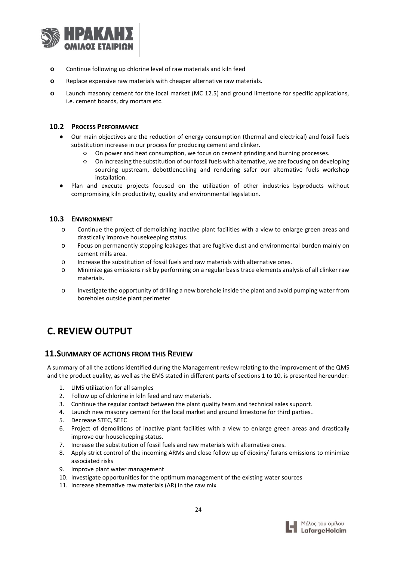

- **o** Continue following up chlorine level of raw materials and kiln feed
- **o** Replace expensive raw materials with cheaper alternative raw materials.
- **o** Launch masonry cement for the local market (MC 12.5) and ground limestone for specific applications, i.e. cement boards, dry mortars etc.

#### <span id="page-24-0"></span>**10.2 PROCESS PERFORMANCE**

- Our main objectives are the reduction of energy consumption (thermal and electrical) and fossil fuels substitution increase in our process for producing cement and clinker.
	- On power and heat consumption, we focus on cement grinding and burning processes.
	- On increasing the substitution of our fossil fuels with alternative, we are focusing on developing sourcing upstream, debottlenecking and rendering safer our alternative fuels workshop installation.
- Plan and execute projects focused on the utilization of other industries byproducts without compromising kiln productivity, quality and environmental legislation.

#### <span id="page-24-1"></span>**10.3 ENVIRONMENT**

- o Continue the project of demolishing inactive plant facilities with a view to enlarge green areas and drastically improve housekeeping status.
- o Focus on permanently stopping leakages that are fugitive dust and environmental burden mainly on cement mills area.
- o Increase the substitution of fossil fuels and raw materials with alternative ones.
- o Minimize gas emissions risk by performing on a regular basis trace elements analysis of all clinker raw materials.
- o Investigate the opportunity of drilling a new borehole inside the plant and avoid pumping water from boreholes outside plant perimeter

# <span id="page-24-2"></span>**C. REVIEW OUTPUT**

## <span id="page-24-3"></span>**11.SUMMARY OF ACTIONS FROM THIS REVIEW**

A summary of all the actions identified during the Management review relating to the improvement of the QMS and the product quality, as well as the EMS stated in different parts of sections 1 to 10, is presented hereunder:

- 1. LIMS utilization for all samples
- 2. Follow up of chlorine in kiln feed and raw materials.
- 3. Continue the regular contact between the plant quality team and technical sales support.
- 4. Launch new masonry cement for the local market and ground limestone for third parties..
- 5. Decrease STEC, SEEC
- 6. Project of demolitions of inactive plant facilities with a view to enlarge green areas and drastically improve our housekeeping status.
- 7. Increase the substitution of fossil fuels and raw materials with alternative ones.
- 8. Apply strict control of the incoming ARMs and close follow up of dioxins/ furans emissions to minimize associated risks
- 9. Improve plant water management
- 10. Investigate opportunities for the optimum management of the existing water sources
- 11. Increase alternative raw materials (AR) in the raw mix